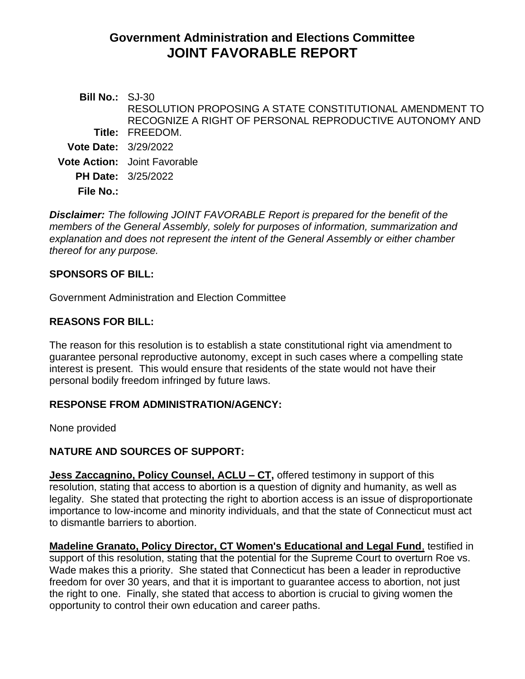# **Government Administration and Elections Committee JOINT FAVORABLE REPORT**

**Bill No.:** SJ-30 **Title:** FREEDOM. RESOLUTION PROPOSING A STATE CONSTITUTIONAL AMENDMENT TO RECOGNIZE A RIGHT OF PERSONAL REPRODUCTIVE AUTONOMY AND **Vote Date:** 3/29/2022 **Vote Action:** Joint Favorable **PH Date:** 3/25/2022 **File No.:**

*Disclaimer: The following JOINT FAVORABLE Report is prepared for the benefit of the members of the General Assembly, solely for purposes of information, summarization and explanation and does not represent the intent of the General Assembly or either chamber thereof for any purpose.*

## **SPONSORS OF BILL:**

Government Administration and Election Committee

## **REASONS FOR BILL:**

The reason for this resolution is to establish a state constitutional right via amendment to guarantee personal reproductive autonomy, except in such cases where a compelling state interest is present. This would ensure that residents of the state would not have their personal bodily freedom infringed by future laws.

#### **RESPONSE FROM ADMINISTRATION/AGENCY:**

None provided

## **NATURE AND SOURCES OF SUPPORT:**

**Jess Zaccagnino, Policy Counsel, ACLU – CT,** offered testimony in support of this resolution, stating that access to abortion is a question of dignity and humanity, as well as legality. She stated that protecting the right to abortion access is an issue of disproportionate importance to low-income and minority individuals, and that the state of Connecticut must act to dismantle barriers to abortion.

**Madeline Granato, Policy Director, CT Women's Educational and Legal Fund**, testified in support of this resolution, stating that the potential for the Supreme Court to overturn Roe vs. Wade makes this a priority. She stated that Connecticut has been a leader in reproductive freedom for over 30 years, and that it is important to guarantee access to abortion, not just the right to one. Finally, she stated that access to abortion is crucial to giving women the opportunity to control their own education and career paths.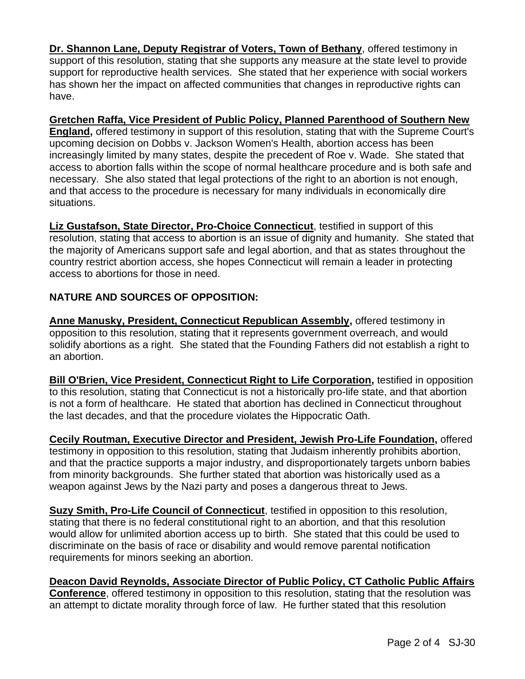**Dr. Shannon Lane, Deputy Registrar of Voters, Town of Bethany**, offered testimony in support of this resolution, stating that she supports any measure at the state level to provide support for reproductive health services. She stated that her experience with social workers has shown her the impact on affected communities that changes in reproductive rights can have.

**Gretchen Raffa, Vice President of Public Policy, Planned Parenthood of Southern New England,** offered testimony in support of this resolution, stating that with the Supreme Court's upcoming decision on Dobbs v. Jackson Women's Health, abortion access has been increasingly limited by many states, despite the precedent of Roe v. Wade. She stated that access to abortion falls within the scope of normal healthcare procedure and is both safe and necessary. She also stated that legal protections of the right to an abortion is not enough, and that access to the procedure is necessary for many individuals in economically dire situations.

**Liz Gustafson, State Director, Pro-Choice Connecticut**, testified in support of this resolution, stating that access to abortion is an issue of dignity and humanity. She stated that the majority of Americans support safe and legal abortion, and that as states throughout the country restrict abortion access, she hopes Connecticut will remain a leader in protecting access to abortions for those in need.

# **NATURE AND SOURCES OF OPPOSITION:**

**Anne Manusky, President, Connecticut Republican Assembly,** offered testimony in opposition to this resolution, stating that it represents government overreach, and would solidify abortions as a right. She stated that the Founding Fathers did not establish a right to an abortion.

**Bill O'Brien, Vice President, Connecticut Right to Life Corporation,** testified in opposition to this resolution, stating that Connecticut is not a historically pro-life state, and that abortion is not a form of healthcare. He stated that abortion has declined in Connecticut throughout the last decades, and that the procedure violates the Hippocratic Oath.

**Cecily Routman, Executive Director and President, Jewish Pro-Life Foundation,** offered testimony in opposition to this resolution, stating that Judaism inherently prohibits abortion, and that the practice supports a major industry, and disproportionately targets unborn babies from minority backgrounds. She further stated that abortion was historically used as a weapon against Jews by the Nazi party and poses a dangerous threat to Jews.

**Suzy Smith, Pro-Life Council of Connecticut**, testified in opposition to this resolution, stating that there is no federal constitutional right to an abortion, and that this resolution would allow for unlimited abortion access up to birth. She stated that this could be used to discriminate on the basis of race or disability and would remove parental notification requirements for minors seeking an abortion.

**Deacon David Reynolds, Associate Director of Public Policy, CT Catholic Public Affairs Conference**, offered testimony in opposition to this resolution, stating that the resolution was an attempt to dictate morality through force of law. He further stated that this resolution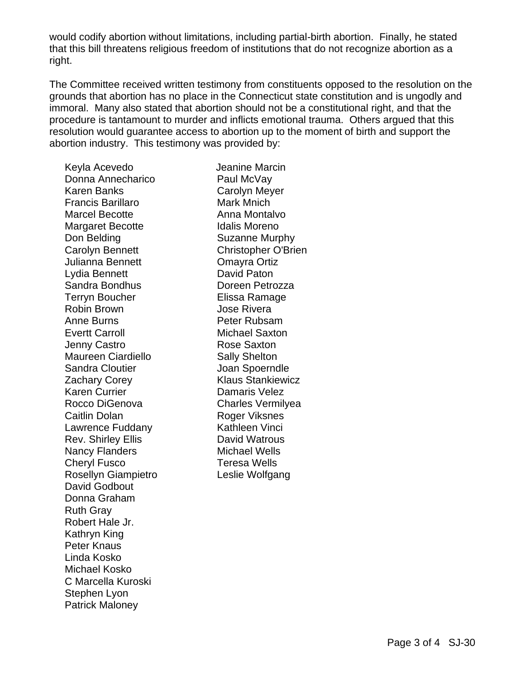would codify abortion without limitations, including partial-birth abortion. Finally, he stated that this bill threatens religious freedom of institutions that do not recognize abortion as a right.

The Committee received written testimony from constituents opposed to the resolution on the grounds that abortion has no place in the Connecticut state constitution and is ungodly and immoral. Many also stated that abortion should not be a constitutional right, and that the procedure is tantamount to murder and inflicts emotional trauma. Others argued that this resolution would guarantee access to abortion up to the moment of birth and support the abortion industry. This testimony was provided by:

Keyla Acevedo Donna Annecharico Karen Banks Francis Barillaro Marcel Becotte Margaret Becotte Don Belding Carolyn Bennett Julianna Bennett Lydia Bennett Sandra Bondhus Terryn Boucher Robin Brown Anne Burns Evertt Carroll Jenny Castro Maureen Ciardiello Sandra Cloutier Zachary Corey Karen Currier Rocco DiGenova Caitlin Dolan Lawrence Fuddany Rev. Shirley Ellis Nancy Flanders Cheryl Fusco Rosellyn Giampietro David Godbout Donna Graham Ruth Gray Robert Hale Jr. Kathryn King Peter Knaus Linda Kosko Michael Kosko C Marcella Kuroski Stephen Lyon Patrick Maloney

 Jeanine Marcin Paul McVay Carolyn Meyer Mark Mnich Anna Montalvo Idalis Moreno Suzanne Murphy Christopher O'Brien Omayra Ortiz David Paton Doreen Petrozza Elissa Ramage Jose Rivera Peter Rubsam Michael Saxton Rose Saxton Sally Shelton Joan Spoerndle Klaus Stankiewicz Damaris Velez Charles Vermilyea Roger Viksnes Kathleen Vinci David Watrous Michael Wells Teresa Wells Leslie Wolfgang